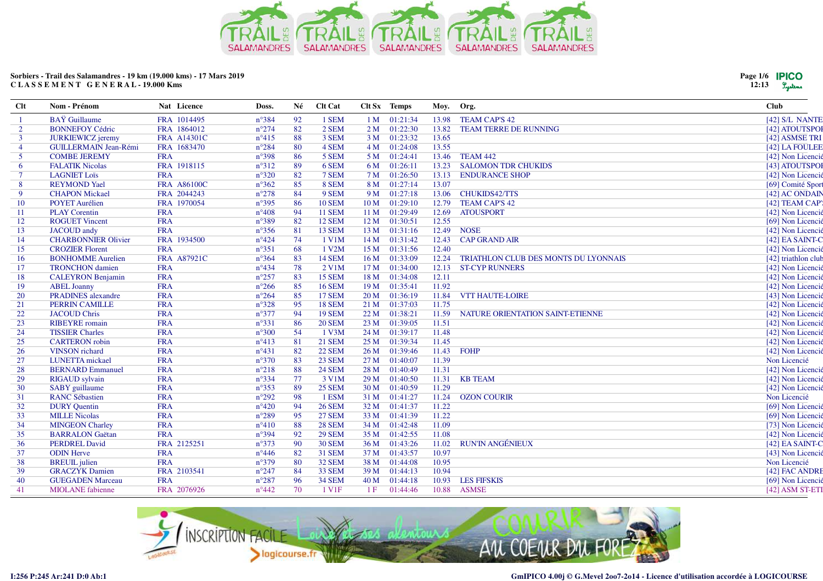

| Page 1/6 <b>IPICO</b> |         |
|-----------------------|---------|
| 12:13                 | Lystems |

| Clt            | Nom - Prénom                 | Nat Licence        | Doss.          | Né | <b>Clt Cat</b>     |                 | Clt Sx Temps      | Moy.  | Org.                                 | <b>Club</b>         |
|----------------|------------------------------|--------------------|----------------|----|--------------------|-----------------|-------------------|-------|--------------------------------------|---------------------|
|                | <b>BAY</b> Guillaume         | FRA 1014495        | $n^{\circ}384$ | 92 | 1 SEM              |                 | 1 M 01:21:34      | 13.98 | <b>TEAM CAP'S 42</b>                 | [42] S/L NANTE      |
| $\overline{2}$ | <b>BONNEFOY Cédric</b>       | FRA 1864012        | $n^{\circ}274$ | 82 | 2 SEM              |                 | 2 M 01:22:30      | 13.82 | <b>TEAM TERRE DE RUNNING</b>         | [42] ATOUTSPOI      |
| $\overline{3}$ | <b>JURKIEWICZ</b> jeremy     | <b>FRA A14301C</b> | $n^{\circ}415$ | 88 | 3 SEM              |                 | 3 M 01:23:32      | 13.65 |                                      | [42] ASMSE TRI      |
| $\overline{4}$ | <b>GUILLERMAIN Jean-Rémi</b> | FRA 1683470        | $n^{\circ}284$ | 80 | 4 SEM              |                 | 4 M 01:24:08      | 13.55 |                                      | [42] LA FOULEE      |
| 5              | <b>COMBE JEREMY</b>          | <b>FRA</b>         | $n^{\circ}398$ | 86 | 5 SEM              |                 | 5 M 01:24:41      | 13.46 | TEAM 442                             | [42] Non Licencié   |
| 6              | <b>FALATIK Nicolas</b>       | FRA 1918115        | $n^{\circ}312$ | 89 | 6 SEM              | 6 M             | 01:26:11          | 13.23 | <b>SALOMON TDR CHUKIDS</b>           | [43] ATOUTSPOI      |
| $\tau$         | <b>LAGNIET Loïs</b>          | <b>FRA</b>         | $n^{\circ}320$ | 82 | 7 SEM              |                 | 7 M 01:26:50      | 13.13 | <b>ENDURANCE SHOP</b>                | [42] Non Licencié   |
| 8              | <b>REYMOND Yael</b>          | <b>FRA A86100C</b> | $n^{\circ}362$ | 85 | 8 SEM              | 8 M             | 01:27:14          | 13.07 |                                      | [69] Comité Sport   |
| 9              | <b>CHAPON Mickael</b>        | FRA 2044243        | $n^{\circ}278$ | 84 | 9 SEM              |                 | 9 M 01:27:18      |       | 13.06 CHUKIDS42/TTS                  | [42] AC ONDAIN      |
| 10             | <b>POYET Aurélien</b>        | FRA 1970054        | $n^{\circ}395$ | 86 | <b>10 SEM</b>      |                 | $10 M$ $01:29:10$ | 12.79 | <b>TEAM CAP'S 42</b>                 | [42] TEAM CAP'      |
| 11             | <b>PLAY Corentin</b>         | <b>FRA</b>         | $n^{\circ}408$ | 94 | <b>11 SEM</b>      |                 | 11 M 01:29:49     | 12.69 | <b>ATOUSPORT</b>                     | [42] Non Licencié   |
| 12             | <b>ROGUET Vincent</b>        | <b>FRA</b>         | $n^{\circ}389$ | 82 | <b>12 SEM</b>      | 12M             | 01:30:51          | 12.55 |                                      | [69] Non Licencié   |
| 13             | <b>JACOUD</b> andy           | <b>FRA</b>         | $n^{\circ}356$ | 81 | <b>13 SEM</b>      | 13M             | 01:31:16          | 12.49 | <b>NOSE</b>                          | [42] Non Licencié   |
| 14             | <b>CHARBONNIER Olivier</b>   | FRA 1934500        | $n^{\circ}424$ | 74 | 1 V1M              | 14 M            | 01:31:42          | 12.43 | <b>CAP GRAND AIR</b>                 | [42] EA SAINT-C     |
| 15             | <b>CROZIER Florent</b>       | <b>FRA</b>         | $n^{\circ}351$ | 68 | 1 V2M              |                 | 15 M 01:31:56     | 12.40 |                                      | [42] Non Licencié   |
| 16             | <b>BONHOMME Aurelien</b>     | FRA A87921C        | $n^{\circ}364$ | 83 | <b>14 SEM</b>      | 16M             | 01:33:09          | 12.24 | TRIATHLON CLUB DES MONTS DU LYONNAIS | [42] triathlon club |
| 17             | <b>TRONCHON</b> damien       | <b>FRA</b>         | $n^{\circ}434$ | 78 | 2 V1M              | 17 <sub>M</sub> | 01:34:00          | 12.13 | <b>ST-CYP RUNNERS</b>                | [42] Non Licencié   |
| 18             | <b>CALEYRON Benjamin</b>     | <b>FRA</b>         | $n^{\circ}257$ | 83 | <b>15 SEM</b>      |                 | 18 M 01:34:08     | 12.11 |                                      | [42] Non Licencié   |
| 19             | <b>ABEL Joanny</b>           | <b>FRA</b>         | $n^{\circ}266$ | 85 | <b>16 SEM</b>      |                 | 19 M 01:35:41     | 11.92 |                                      | [42] Non Licencié   |
| 20             | <b>PRADINES</b> alexandre    | <b>FRA</b>         | $n^{\circ}264$ | 85 | <b>17 SEM</b>      |                 | 20 M 01:36:19     | 11.84 | <b>VTT HAUTE-LOIRE</b>               | [43] Non Licencié   |
| 21             | <b>PERRIN CAMILLE</b>        | <b>FRA</b>         | $n^{\circ}328$ | 95 | <b>18 SEM</b>      | 21 M            | 01:37:03          | 11.75 |                                      | [42] Non Licencié   |
| 22             | <b>JACOUD Chris</b>          | <b>FRA</b>         | $n^{\circ}377$ | 94 | <b>19 SEM</b>      | 22M             | 01:38:21          | 11.59 | NATURE ORIENTATION SAINT-ETIENNE     | [42] Non Licencié   |
| 23             | <b>RIBEYRE</b> romain        | <b>FRA</b>         | $n^{\circ}331$ | 86 | <b>20 SEM</b>      | 23 M            | 01:39:05          | 11.51 |                                      | [42] Non Licencié   |
| 24             | <b>TISSIER Charles</b>       | <b>FRA</b>         | $n^{\circ}300$ | 54 | $1$ V3M            |                 | 24 M 01:39:17     | 11.48 |                                      | [42] Non Licencié   |
| 25             | <b>CARTERON</b> robin        | <b>FRA</b>         | $n^{\circ}413$ | 81 | <b>21 SEM</b>      | 25M             | 01:39:34          | 11.45 |                                      | [42] Non Licencié   |
| 26             | <b>VINSON</b> richard        | <b>FRA</b>         | $n^{\circ}431$ | 82 | <b>22 SEM</b>      |                 | 26 M 01:39:46     | 11.43 | <b>FOHP</b>                          | [42] Non Licencié   |
| 27             | LUNETTA mickael              | <b>FRA</b>         | $n^{\circ}370$ | 83 | <b>23 SEM</b>      |                 | 27 M 01:40:07     | 11.39 |                                      | Non Licencié        |
| 28             | <b>BERNARD Emmanuel</b>      | <b>FRA</b>         | $n^{\circ}218$ | 88 | <b>24 SEM</b>      |                 | 28 M 01:40:49     | 11.31 |                                      | [42] Non Licencié   |
| 29             | <b>RIGAUD</b> sylvain        | <b>FRA</b>         | $n^{\circ}334$ | 77 | 3 V1M              | 29 <sub>M</sub> | 01:40:50          | 11.31 | <b>KB TEAM</b>                       | [42] Non Licencié   |
| 30             | <b>SABY</b> guillaume        | <b>FRA</b>         | $n^{\circ}353$ | 89 | <b>25 SEM</b>      | 30 <sub>M</sub> | 01:40:59          | 11.29 |                                      | [42] Non Licencié   |
| 31             | <b>RANC Sébastien</b>        | <b>FRA</b>         | $n^{\circ}292$ | 98 | 1 ESM              | 31 M            | 01:41:27          | 11.24 | <b>OZON COURIR</b>                   | Non Licencié        |
| 32             | <b>DURY Quentin</b>          | <b>FRA</b>         | $n^{\circ}420$ | 94 | <b>26 SEM</b>      | 32 M            | 01:41:37          | 11.22 |                                      | [69] Non Licencié   |
| 33             | <b>MILLE Nicolas</b>         | <b>FRA</b>         | $n^{\circ}289$ | 95 | <b>27 SEM</b>      | 33 M            | 01:41:39          | 11.22 |                                      | [69] Non Licencié   |
| 34             | <b>MINGEON Charley</b>       | <b>FRA</b>         | $n^{\circ}410$ | 88 | <b>28 SEM</b>      | 34 M            | 01:42:48          | 11.09 |                                      | [73] Non Licencié   |
| 35             | <b>BARRALON</b> Gaëtan       | <b>FRA</b>         | $n^{\circ}394$ | 92 | <b>29 SEM</b>      |                 | 35 M 01:42:55     | 11.08 |                                      | [42] Non Licencié   |
| 36             | <b>PERDREL David</b>         | FRA 2125251        | $n^{\circ}373$ | 90 | <b>30 SEM</b>      |                 | 36 M 01:43:26     | 11.02 | <b>RUN'IN ANGÉNIEUX</b>              | [42] EA SAINT-C     |
| 37             | <b>ODIN</b> Herve            | <b>FRA</b>         | $n^{\circ}446$ | 82 | <b>31 SEM</b>      |                 | 37 M 01:43:57     | 10.97 |                                      | [43] Non Licencié   |
| 38             | <b>BREUIL</b> julien         | <b>FRA</b>         | $n^{\circ}379$ | 80 | <b>32 SEM</b>      | 38 M            | 01:44:08          | 10.95 |                                      | Non Licencié        |
| 39             | <b>GRACZYK</b> Damien        | FRA 2103541        | $n^{\circ}247$ | 84 | <b>33 SEM</b>      | 39 M            | 01:44:13          | 10.94 |                                      | [42] FAC ANDRE      |
| 40             | <b>GUEGADEN Marceau</b>      | <b>FRA</b>         | $n^{\circ}287$ | 96 | <b>34 SEM</b>      | 40 M            | 01:44:18          | 10.93 | <b>LES FIFSKIS</b>                   | [69] Non Licencié   |
| 41             | <b>MIOLANE</b> fabienne      | FRA 2076926        | $n^{\circ}442$ | 70 | 1 V <sub>1</sub> F | 1 F             | 01:44:46          | 10.88 | <b>ASMSE</b>                         | [42] ASM ST-ETI     |

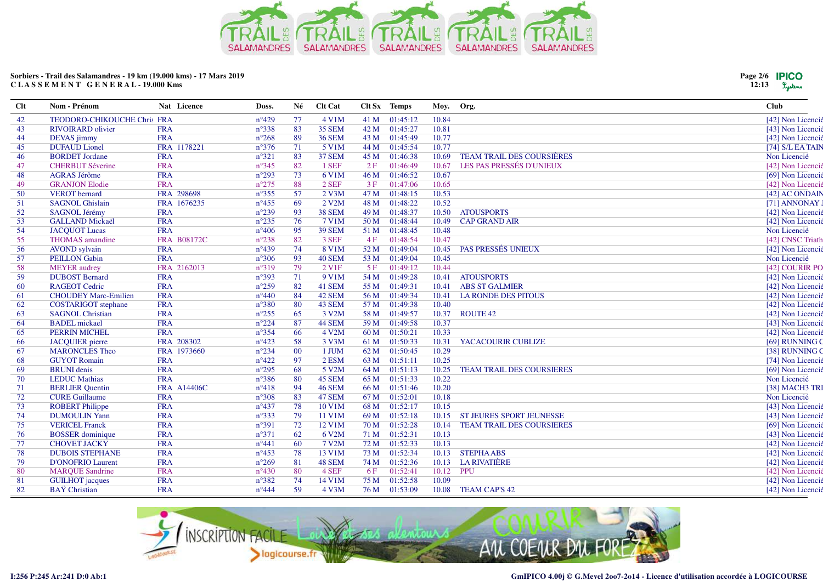

| <b>Clt</b> | Nom - Prénom                | Nat Licence        | Doss.          | Né     | <b>Clt Cat</b>     |      | Clt Sx Temps | Moy.      | Org.                             | <b>Club</b>        |
|------------|-----------------------------|--------------------|----------------|--------|--------------------|------|--------------|-----------|----------------------------------|--------------------|
| 42         | TEODORO-CHIKOUCHE Chris FRA |                    | $n^{\circ}429$ | 77     | 4 V1M              | 41 M | 01:45:12     | 10.84     |                                  | [42] Non Licencié  |
| 43         | <b>RIVOIRARD</b> olivier    | <b>FRA</b>         | $n^{\circ}338$ | 83     | <b>35 SEM</b>      | 42 M | 01:45:27     | 10.81     |                                  | [43] Non Licencié  |
| 44         | DEVAS jimmy                 | <b>FRA</b>         | $n^{\circ}268$ | 89     | <b>36 SEM</b>      | 43 M | 01:45:49     | 10.77     |                                  | [42] Non Licencié  |
| 45         | <b>DUFAUD</b> Lionel        | FRA 1178221        | $n^{\circ}376$ | 71     | 5 V1M              | 44 M | 01:45:54     | 10.77     |                                  | $[74]$ S/L EA TAIN |
| 46         | <b>BORDET Jordane</b>       | <b>FRA</b>         | $n^{\circ}321$ | 83     | <b>37 SEM</b>      | 45 M | 01:46:38     | 10.69     | <b>TEAM TRAIL DES COURSIÈRES</b> | Non Licencié       |
| 47         | <b>CHERBUT Séverine</b>     | <b>FRA</b>         | $n^{\circ}345$ | 82     | 1 SEF              | 2F   | 01:46:49     | 10.67     | LES PAS PRESSÉS D'UNIEUX         | [42] Non Licencié  |
| 48         | <b>AGRAS Jérôme</b>         | <b>FRA</b>         | $n^{\circ}293$ | 73     | 6 V1M              | 46 M | 01:46:52     | 10.67     |                                  | [69] Non Licencié  |
| 49         | <b>GRANJON Elodie</b>       | <b>FRA</b>         | $n^{\circ}275$ | 88     | 2 SEF              | 3F   | 01:47:06     | 10.65     |                                  | [42] Non Licencié  |
| 50         | <b>VEROT</b> bernard        | FRA 298698         | $n^{\circ}355$ | 57     | $2$ V3M            | 47 M | 01:48:15     | 10.53     |                                  | [42] AC ONDAIN     |
| 51         | <b>SAGNOL Ghislain</b>      | FRA 1676235        | $n^{\circ}455$ | 69     | 2 V <sub>2</sub> M | 48 M | 01:48:22     | 10.52     |                                  | [71] ANNONAY J     |
| 52         | <b>SAGNOL Jérémy</b>        | <b>FRA</b>         | $n^{\circ}239$ | 93     | <b>38 SEM</b>      | 49 M | 01:48:37     | 10.50     | <b>ATOUSPORTS</b>                | [42] Non Licencié  |
| 53         | <b>GALLAND Mickaël</b>      | <b>FRA</b>         | $n^{\circ}235$ | 76     | 7 V1M              | 50 M | 01:48:44     | 10.49     | <b>CAP GRAND AIR</b>             | [42] Non Licencié  |
| 54         | <b>JACQUOT Lucas</b>        | <b>FRA</b>         | $n^{\circ}406$ | 95     | <b>39 SEM</b>      | 51 M | 01:48:45     | 10.48     |                                  | Non Licencié       |
| 55         | <b>THOMAS</b> amandine      | <b>FRA B08172C</b> | $n^{\circ}238$ | 82     | 3 SEF              | 4F   | 01:48:54     | 10.47     |                                  | [42] CNSC Triath   |
| 56         | <b>AVOND</b> sylvain        | <b>FRA</b>         | $n^{\circ}439$ | 74     | 8 V1M              | 52 M | 01:49:04     | 10.45     | PAS PRESSÉS UNIEUX               | [42] Non Licencié  |
| 57         | <b>PEILLON</b> Gabin        | <b>FRA</b>         | $n^{\circ}306$ | 93     | 40 SEM             | 53 M | 01:49:04     | 10.45     |                                  | Non Licencié       |
| 58         | <b>MEYER</b> audrey         | FRA 2162013        | $n^{\circ}319$ | 79     | 2 V <sub>1F</sub>  | 5F   | 01:49:12     | 10.44     |                                  | [42] COURIR PO     |
| 59         | <b>DUBOST Bernard</b>       | <b>FRA</b>         | $n^{\circ}393$ | 71     | 9 V1M              | 54 M | 01:49:28     | 10.41     | <b>ATOUSPORTS</b>                | [42] Non Licencié  |
| -60        | <b>RAGEOT Cedric</b>        | <b>FRA</b>         | $n^{\circ}259$ | 82     | 41 SEM             | 55 M | 01:49:31     | 10.41     | <b>ABS ST GALMIER</b>            | [42] Non Licencié  |
| 61         | <b>CHOUDEY Marc-Emilien</b> | <b>FRA</b>         | $n^{\circ}440$ | 84     | 42 SEM             | 56 M | 01:49:34     | 10.41     | <b>LA RONDE DES PITOUS</b>       | [42] Non Licencié  |
| 62         | <b>COSTARIGOT</b> stephane  | <b>FRA</b>         | $n^{\circ}380$ | 80     | 43 SEM             | 57 M | 01:49:38     | 10.40     |                                  | [42] Non Licencié  |
| 63         | <b>SAGNOL Christian</b>     | <b>FRA</b>         | $n^{\circ}255$ | 65     | 3 V2M              | 58 M | 01:49:57     | 10.37     | <b>ROUTE 42</b>                  | [42] Non Licencié  |
| 64         | <b>BADEL</b> mickael        | <b>FRA</b>         | $n^{\circ}224$ | 87     | 44 SEM             | 59 M | 01:49:58     | 10.37     |                                  | [43] Non Licencié  |
| 65         | <b>PERRIN MICHEL</b>        | <b>FRA</b>         | $n^{\circ}354$ | 66     | 4 V2M              | 60 M | 01:50:21     | 10.33     |                                  | [42] Non Licencié  |
| 66         | <b>JACQUIER</b> pierre      | FRA 208302         | $n^{\circ}423$ | 58     | 3 V3M              | 61 M | 01:50:33     | 10.31     | YACACOURIR CUBLIZE               | [69] RUNNING C     |
| 67         | <b>MARONCLES Theo</b>       | FRA 1973660        | $n^{\circ}234$ | $00\,$ | 1 JUM              | 62 M | 01:50:45     | 10.29     |                                  | [38] RUNNING C     |
| 68         | <b>GUYOT Romain</b>         | <b>FRA</b>         | $n^{\circ}422$ | 97     | 2 ESM              | 63 M | 01:51:11     | 10.25     |                                  | [74] Non Licencié  |
| -69        | <b>BRUNI</b> denis          | <b>FRA</b>         | $n^{\circ}295$ | 68     | 5 V2M              | 64 M | 01:51:13     | 10.25     | <b>TEAM TRAIL DES COURSIERES</b> | [69] Non Licencié  |
| 70         | <b>LEDUC</b> Mathias        | <b>FRA</b>         | $n^{\circ}386$ | 80     | 45 SEM             | 65 M | 01:51:33     | 10.22     |                                  | Non Licencié       |
| 71         | <b>BERLIER Quentin</b>      | <b>FRA A14406C</b> | $n^{\circ}418$ | 94     | <b>46 SEM</b>      | 66 M | 01:51:46     | 10.20     |                                  | [38] MACH3 TRI     |
| 72         | <b>CURE Guillaume</b>       | <b>FRA</b>         | $n^{\circ}308$ | 83     | 47 SEM             | 67 M | 01:52:01     | 10.18     |                                  | Non Licencié       |
| 73         | <b>ROBERT Philippe</b>      | <b>FRA</b>         | $n^{\circ}437$ | 78     | 10 V1M             | 68 M | 01:52:17     | 10.15     |                                  | [43] Non Licencié  |
| 74         | <b>DUMOULIN Yann</b>        | <b>FRA</b>         | $n^{\circ}333$ | 79     | 11 V1M             | 69 M | 01:52:18     | 10.15     | ST JEURES SPORT JEUNESSE         | [43] Non Licencié  |
| 75         | <b>VERICEL Franck</b>       | <b>FRA</b>         | $n^{\circ}391$ | 72     | 12 V1M             | 70 M | 01:52:28     | 10.14     | <b>TEAM TRAIL DES COURSIERES</b> | [69] Non Licencié  |
| 76         | <b>BOSSER</b> dominique     | <b>FRA</b>         | $n^{\circ}371$ | 62     | 6 V2M              | 71 M | 01:52:31     | 10.13     |                                  | [43] Non Licencié  |
| 77         | <b>CHOVET JACKY</b>         | <b>FRA</b>         | $n^{\circ}441$ | 60     | 7 V2M              | 72 M | 01:52:33     | 10.13     |                                  | [42] Non Licencié  |
| 78         | <b>DUBOIS STEPHANE</b>      | <b>FRA</b>         | $n^{\circ}453$ | 78     | 13 V1M             | 73 M | 01:52:34     |           | 10.13 STEPHAABS                  | [42] Non Licencié  |
| 79         | <b>D'ONOFRIO Laurent</b>    | <b>FRA</b>         | $n^{\circ}269$ | 81     | 48 SEM             | 74 M | 01:52:36     | 10.13     | <b>LA RIVATIÈRE</b>              | [42] Non Licencié  |
| -80        | <b>MARQUE Sandrine</b>      | <b>FRA</b>         | $n^{\circ}430$ | 80     | 4 SEF              | 6 F  | 01:52:41     | 10.12 PPU |                                  | [42] Non Licencié  |
| 81         | <b>GUILHOT</b> jacques      | <b>FRA</b>         | $n^{\circ}382$ | 74     | 14 V1M             | 75 M | 01:52:58     | 10.09     |                                  | [42] Non Licencié  |
| 82         | <b>BAŸ</b> Christian        | <b>FRA</b>         | $n^{\circ}444$ | 59     | $4$ V3M            | 76 M | 01:53:09     | 10.08     | <b>TEAM CAP'S 42</b>             | [42] Non Licencié  |



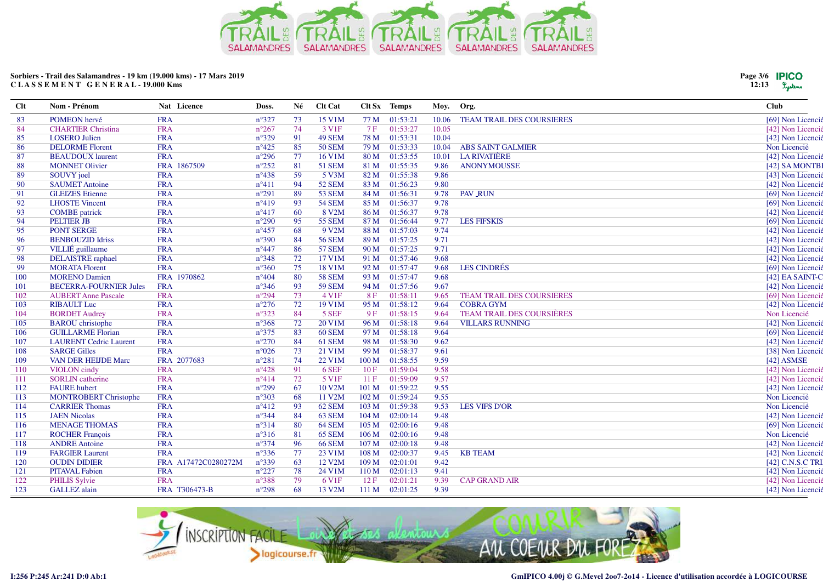

| Page 3/6 <b>IPICO</b> |        |
|-----------------------|--------|
| 12:13                 | Lysten |

| POMEON hervé<br><b>FRA</b><br>$n^{\circ}327$<br>73<br>15 V1M<br>77 M<br>01:53:21<br>83<br>10.06<br><b>TEAM TRAIL DES COURSIERES</b><br>[69] Non Licencié<br>74<br>01:53:27<br><b>CHARTIER Christina</b><br><b>FRA</b><br>$n^{\circ}267$<br>3 V <sub>1F</sub><br>7F<br>10.05<br>84<br>[42] Non Licencié<br>$n^{\circ}329$<br>91<br><b>FRA</b><br>49 SEM<br>78 M<br>01:53:31<br>10.04<br><b>LOSERO</b> Julien<br>[42] Non Licencié<br>85<br>85<br>01:53:33<br>Non Licencié<br><b>DELORME</b> Florent<br><b>FRA</b><br>$n^{\circ}425$<br><b>50 SEM</b><br>79 M<br>10.04<br><b>ABS SAINT GALMIER</b><br>86<br>77<br><b>LA RIVATIÈRE</b><br><b>FRA</b><br>$n^{\circ}296$<br>16 V1M<br>80 M<br>01:53:55<br>10.01<br>87<br><b>BEAUDOUX</b> laurent<br>[42] Non Licencié<br>81<br><b>MONNET Olivier</b><br>FRA 1867509<br>$n^{\circ}252$<br>51 SEM<br>81 M<br>01:55:35<br>9.86<br><b>ANONYMOUSSE</b><br>88<br>[42] SA MONTBI<br>59<br>01:55:38<br><b>FRA</b><br>$n^{\circ}438$<br>5 V3M<br>82 M<br>9.86<br>89<br>SOUVY joel<br>[43] Non Licencié<br>94<br>01:56:23<br>9.80<br><b>FRA</b><br>$n^{\circ}411$<br><b>52 SEM</b><br>83 M<br>[42] Non Licencié<br>90<br><b>SAUMET Antoine</b><br>89<br><b>GLEIZES</b> Etienne<br><b>FRA</b><br>$n^{\circ}291$<br><b>53 SEM</b><br>01:56:31<br>9.78<br><b>PAV_RUN</b><br>91<br>84 M<br>[69] Non Licencié<br><b>FRA</b><br>93<br>9.78<br><b>LHOSTE Vincent</b><br>$n^{\circ}419$<br><b>54 SEM</b><br>01:56:37<br>[69] Non Licencié<br>92<br>85 M<br>60<br><b>FRA</b><br>$n^{\circ}417$<br>8 V2M<br>86 M<br>01:56:37<br>9.78<br>93<br><b>COMBE</b> patrick<br>[42] Non Licencié<br><b>PELTIER JB</b><br><b>FRA</b><br>$n^{\circ}290$<br>95<br><b>55 SEM</b><br>87 M<br>01:56:44<br>9.77<br><b>LES FIFSKIS</b><br>[69] Non Licencié<br>94 | Nom - Prénom |
|-------------------------------------------------------------------------------------------------------------------------------------------------------------------------------------------------------------------------------------------------------------------------------------------------------------------------------------------------------------------------------------------------------------------------------------------------------------------------------------------------------------------------------------------------------------------------------------------------------------------------------------------------------------------------------------------------------------------------------------------------------------------------------------------------------------------------------------------------------------------------------------------------------------------------------------------------------------------------------------------------------------------------------------------------------------------------------------------------------------------------------------------------------------------------------------------------------------------------------------------------------------------------------------------------------------------------------------------------------------------------------------------------------------------------------------------------------------------------------------------------------------------------------------------------------------------------------------------------------------------------------------------------------------------------------------------------------------------------------------------------------------------------|--------------|
|                                                                                                                                                                                                                                                                                                                                                                                                                                                                                                                                                                                                                                                                                                                                                                                                                                                                                                                                                                                                                                                                                                                                                                                                                                                                                                                                                                                                                                                                                                                                                                                                                                                                                                                                                                         |              |
|                                                                                                                                                                                                                                                                                                                                                                                                                                                                                                                                                                                                                                                                                                                                                                                                                                                                                                                                                                                                                                                                                                                                                                                                                                                                                                                                                                                                                                                                                                                                                                                                                                                                                                                                                                         |              |
|                                                                                                                                                                                                                                                                                                                                                                                                                                                                                                                                                                                                                                                                                                                                                                                                                                                                                                                                                                                                                                                                                                                                                                                                                                                                                                                                                                                                                                                                                                                                                                                                                                                                                                                                                                         |              |
|                                                                                                                                                                                                                                                                                                                                                                                                                                                                                                                                                                                                                                                                                                                                                                                                                                                                                                                                                                                                                                                                                                                                                                                                                                                                                                                                                                                                                                                                                                                                                                                                                                                                                                                                                                         |              |
|                                                                                                                                                                                                                                                                                                                                                                                                                                                                                                                                                                                                                                                                                                                                                                                                                                                                                                                                                                                                                                                                                                                                                                                                                                                                                                                                                                                                                                                                                                                                                                                                                                                                                                                                                                         |              |
|                                                                                                                                                                                                                                                                                                                                                                                                                                                                                                                                                                                                                                                                                                                                                                                                                                                                                                                                                                                                                                                                                                                                                                                                                                                                                                                                                                                                                                                                                                                                                                                                                                                                                                                                                                         |              |
|                                                                                                                                                                                                                                                                                                                                                                                                                                                                                                                                                                                                                                                                                                                                                                                                                                                                                                                                                                                                                                                                                                                                                                                                                                                                                                                                                                                                                                                                                                                                                                                                                                                                                                                                                                         |              |
|                                                                                                                                                                                                                                                                                                                                                                                                                                                                                                                                                                                                                                                                                                                                                                                                                                                                                                                                                                                                                                                                                                                                                                                                                                                                                                                                                                                                                                                                                                                                                                                                                                                                                                                                                                         |              |
|                                                                                                                                                                                                                                                                                                                                                                                                                                                                                                                                                                                                                                                                                                                                                                                                                                                                                                                                                                                                                                                                                                                                                                                                                                                                                                                                                                                                                                                                                                                                                                                                                                                                                                                                                                         |              |
|                                                                                                                                                                                                                                                                                                                                                                                                                                                                                                                                                                                                                                                                                                                                                                                                                                                                                                                                                                                                                                                                                                                                                                                                                                                                                                                                                                                                                                                                                                                                                                                                                                                                                                                                                                         |              |
|                                                                                                                                                                                                                                                                                                                                                                                                                                                                                                                                                                                                                                                                                                                                                                                                                                                                                                                                                                                                                                                                                                                                                                                                                                                                                                                                                                                                                                                                                                                                                                                                                                                                                                                                                                         |              |
|                                                                                                                                                                                                                                                                                                                                                                                                                                                                                                                                                                                                                                                                                                                                                                                                                                                                                                                                                                                                                                                                                                                                                                                                                                                                                                                                                                                                                                                                                                                                                                                                                                                                                                                                                                         |              |
| <b>PONT SERGE</b><br>$n^{\circ}457$<br>9.74<br><b>FRA</b><br>68<br>9 V2M<br>88 M<br>01:57:03<br>95<br>[42] Non Licencié                                                                                                                                                                                                                                                                                                                                                                                                                                                                                                                                                                                                                                                                                                                                                                                                                                                                                                                                                                                                                                                                                                                                                                                                                                                                                                                                                                                                                                                                                                                                                                                                                                                 |              |
| 84<br><b>BENBOUZID Idriss</b><br><b>FRA</b><br>$n^{\circ}390$<br><b>56 SEM</b><br>01:57:25<br>9.71<br>96<br>89 M<br>[42] Non Licencié                                                                                                                                                                                                                                                                                                                                                                                                                                                                                                                                                                                                                                                                                                                                                                                                                                                                                                                                                                                                                                                                                                                                                                                                                                                                                                                                                                                                                                                                                                                                                                                                                                   |              |
| 86<br>9.71<br>VILLIÉ guillaume<br><b>FRA</b><br>$n^{\circ}447$<br><b>57 SEM</b><br>90 M<br>01:57:25<br>97<br>[42] Non Licencié                                                                                                                                                                                                                                                                                                                                                                                                                                                                                                                                                                                                                                                                                                                                                                                                                                                                                                                                                                                                                                                                                                                                                                                                                                                                                                                                                                                                                                                                                                                                                                                                                                          |              |
| <b>FRA</b><br>$n^{\circ}348$<br>72<br>9.68<br><b>DELAISTRE</b> raphael<br>17 V1M<br>91 M<br>01:57:46<br>98<br>[42] Non Licencié                                                                                                                                                                                                                                                                                                                                                                                                                                                                                                                                                                                                                                                                                                                                                                                                                                                                                                                                                                                                                                                                                                                                                                                                                                                                                                                                                                                                                                                                                                                                                                                                                                         |              |
| <b>MORATA Florent</b><br><b>FRA</b><br>$n^{\circ}360$<br>75<br>18 V1M<br>92 M<br>01:57:47<br>9.68<br><b>LES CINDRÉS</b><br>[69] Non Licencié<br>99                                                                                                                                                                                                                                                                                                                                                                                                                                                                                                                                                                                                                                                                                                                                                                                                                                                                                                                                                                                                                                                                                                                                                                                                                                                                                                                                                                                                                                                                                                                                                                                                                      |              |
| 80<br><b>MORENO Damien</b><br>FRA 1970862<br>$n^{\circ}404$<br><b>58 SEM</b><br>01:57:47<br>9.68<br>100<br>93 M<br>[42] EA SAINT-C                                                                                                                                                                                                                                                                                                                                                                                                                                                                                                                                                                                                                                                                                                                                                                                                                                                                                                                                                                                                                                                                                                                                                                                                                                                                                                                                                                                                                                                                                                                                                                                                                                      |              |
| 93<br><b>FRA</b><br><b>59 SEM</b><br>01:57:56<br>9.67<br><b>BECERRA-FOURNIER Jules</b><br>$n^{\circ}346$<br>94 M<br>[42] Non Licencié<br>101                                                                                                                                                                                                                                                                                                                                                                                                                                                                                                                                                                                                                                                                                                                                                                                                                                                                                                                                                                                                                                                                                                                                                                                                                                                                                                                                                                                                                                                                                                                                                                                                                            |              |
| 73<br>01:58:11<br>$n^{\circ}294$<br>4 V1F<br>8F<br>[69] Non Licencié<br><b>AUBERT Anne Pascale</b><br><b>FRA</b><br>9.65<br><b>TEAM TRAIL DES COURSIERES</b><br>102                                                                                                                                                                                                                                                                                                                                                                                                                                                                                                                                                                                                                                                                                                                                                                                                                                                                                                                                                                                                                                                                                                                                                                                                                                                                                                                                                                                                                                                                                                                                                                                                     |              |
| 72<br><b>RIBAULT Luc</b><br><b>FRA</b><br>$n^{\circ}276$<br>19 V1M<br>95 M<br>01:58:12<br><b>COBRA GYM</b><br>9.64<br>[42] Non Licencié<br>103                                                                                                                                                                                                                                                                                                                                                                                                                                                                                                                                                                                                                                                                                                                                                                                                                                                                                                                                                                                                                                                                                                                                                                                                                                                                                                                                                                                                                                                                                                                                                                                                                          |              |
| $n^{\circ}323$<br>84<br>5 SEF<br>01:58:15<br><b>TEAM TRAIL DES COURSIÈRES</b><br>Non Licencié<br><b>BORDET Audrey</b><br><b>FRA</b><br>9F<br>104<br>9.64                                                                                                                                                                                                                                                                                                                                                                                                                                                                                                                                                                                                                                                                                                                                                                                                                                                                                                                                                                                                                                                                                                                                                                                                                                                                                                                                                                                                                                                                                                                                                                                                                |              |
| <b>FRA</b><br>$n^{\circ}368$<br>72<br>20 V1M<br>01:58:18<br><b>BAROU</b> christophe<br>96 M<br>9.64<br><b>VILLARS RUNNING</b><br>[42] Non Licencié<br>105                                                                                                                                                                                                                                                                                                                                                                                                                                                                                                                                                                                                                                                                                                                                                                                                                                                                                                                                                                                                                                                                                                                                                                                                                                                                                                                                                                                                                                                                                                                                                                                                               |              |
| 83<br><b>GUILLARME Florian</b><br><b>FRA</b><br>$n^{\circ}375$<br><b>60 SEM</b><br>97 M<br>01:58:18<br>9.64<br>106<br>[69] Non Licencié                                                                                                                                                                                                                                                                                                                                                                                                                                                                                                                                                                                                                                                                                                                                                                                                                                                                                                                                                                                                                                                                                                                                                                                                                                                                                                                                                                                                                                                                                                                                                                                                                                 |              |
| $n^{\circ}270$<br>84<br><b>LAURENT Cedric Laurent</b><br><b>FRA</b><br>61 SEM<br>98 M<br>01:58:30<br>9.62<br>[42] Non Licencié<br>107                                                                                                                                                                                                                                                                                                                                                                                                                                                                                                                                                                                                                                                                                                                                                                                                                                                                                                                                                                                                                                                                                                                                                                                                                                                                                                                                                                                                                                                                                                                                                                                                                                   |              |
| <b>SARGE Gilles</b><br><b>FRA</b><br>$n^{\circ}026$<br>73<br>21 V1M<br>99 M<br>01:58:37<br>9.61<br>108<br>[38] Non Licencié                                                                                                                                                                                                                                                                                                                                                                                                                                                                                                                                                                                                                                                                                                                                                                                                                                                                                                                                                                                                                                                                                                                                                                                                                                                                                                                                                                                                                                                                                                                                                                                                                                             |              |
| FRA 2077683<br>74<br>01:58:55<br>9.59<br>109<br><b>VAN DER HEIJDE Marc</b><br>$n^{\circ}281$<br>22 V1M<br>100 <sub>M</sub><br>$[42]$ ASMSE                                                                                                                                                                                                                                                                                                                                                                                                                                                                                                                                                                                                                                                                                                                                                                                                                                                                                                                                                                                                                                                                                                                                                                                                                                                                                                                                                                                                                                                                                                                                                                                                                              |              |
| 91<br><b>FRA</b><br>$n^{\circ}428$<br>6 SEF<br>01:59:04<br>9.58<br><b>VIOLON</b> cindy<br>10F<br>[42] Non Licencié<br>110                                                                                                                                                                                                                                                                                                                                                                                                                                                                                                                                                                                                                                                                                                                                                                                                                                                                                                                                                                                                                                                                                                                                                                                                                                                                                                                                                                                                                                                                                                                                                                                                                                               |              |
| 72<br>01:59:09<br>9.57<br><b>SORLIN</b> catherine<br><b>FRA</b><br>$n^{\circ}414$<br>$5 \text{V1F}$<br>11F<br>[42] Non Licencié<br>111                                                                                                                                                                                                                                                                                                                                                                                                                                                                                                                                                                                                                                                                                                                                                                                                                                                                                                                                                                                                                                                                                                                                                                                                                                                                                                                                                                                                                                                                                                                                                                                                                                  |              |
| <b>FAURE</b> hubert<br><b>FRA</b><br>$n^{\circ}299$<br>67<br>10 V2M<br>101 M<br>01:59:22<br>9.55<br>[42] Non Licencié<br>112                                                                                                                                                                                                                                                                                                                                                                                                                                                                                                                                                                                                                                                                                                                                                                                                                                                                                                                                                                                                                                                                                                                                                                                                                                                                                                                                                                                                                                                                                                                                                                                                                                            |              |
| 68<br><b>MONTROBERT Christophe</b><br><b>FRA</b><br>$n^{\circ}303$<br>11 V2M<br>102 M<br>01:59:24<br>9.55<br>Non Licencié<br>113                                                                                                                                                                                                                                                                                                                                                                                                                                                                                                                                                                                                                                                                                                                                                                                                                                                                                                                                                                                                                                                                                                                                                                                                                                                                                                                                                                                                                                                                                                                                                                                                                                        |              |
| 93<br><b>FRA</b><br>103 M<br>01:59:38<br>9.53<br>Non Licencié<br><b>CARRIER Thomas</b><br>$n^{\circ}412$<br>62 SEM<br><b>LES VIFS D'OR</b><br>114                                                                                                                                                                                                                                                                                                                                                                                                                                                                                                                                                                                                                                                                                                                                                                                                                                                                                                                                                                                                                                                                                                                                                                                                                                                                                                                                                                                                                                                                                                                                                                                                                       |              |
| 84<br><b>JAEN Nicolas</b><br><b>FRA</b><br>$n^{\circ}344$<br>63 SEM<br>104 M<br>02:00:14<br>9.48<br>[42] Non Licencié<br>115                                                                                                                                                                                                                                                                                                                                                                                                                                                                                                                                                                                                                                                                                                                                                                                                                                                                                                                                                                                                                                                                                                                                                                                                                                                                                                                                                                                                                                                                                                                                                                                                                                            |              |
| 80<br><b>FRA</b><br>$n^{\circ}314$<br>64 SEM<br>105 M<br>02:00:16<br>9.48<br><b>MENAGE THOMAS</b><br>[69] Non Licencié<br>116                                                                                                                                                                                                                                                                                                                                                                                                                                                                                                                                                                                                                                                                                                                                                                                                                                                                                                                                                                                                                                                                                                                                                                                                                                                                                                                                                                                                                                                                                                                                                                                                                                           |              |
| 81<br>Non Licencié<br><b>ROCHER François</b><br><b>FRA</b><br>$n^{\circ}316$<br><b>65 SEM</b><br>106 <sub>M</sub><br>02:00:16<br>9.48<br>117                                                                                                                                                                                                                                                                                                                                                                                                                                                                                                                                                                                                                                                                                                                                                                                                                                                                                                                                                                                                                                                                                                                                                                                                                                                                                                                                                                                                                                                                                                                                                                                                                            |              |
| 96<br><b>FRA</b><br>9.48<br>118<br><b>ANDRE Antoine</b><br>$n^{\circ}374$<br><b>66 SEM</b><br>107 M<br>02:00:18<br>[42] Non Licencié                                                                                                                                                                                                                                                                                                                                                                                                                                                                                                                                                                                                                                                                                                                                                                                                                                                                                                                                                                                                                                                                                                                                                                                                                                                                                                                                                                                                                                                                                                                                                                                                                                    |              |
| 77<br>$n^{\circ}336$<br>02:00:37<br><b>FARGIER Laurent</b><br><b>FRA</b><br>23 V1M<br>108 M<br>9.45<br><b>KB TEAM</b><br>[42] Non Licencié<br>119                                                                                                                                                                                                                                                                                                                                                                                                                                                                                                                                                                                                                                                                                                                                                                                                                                                                                                                                                                                                                                                                                                                                                                                                                                                                                                                                                                                                                                                                                                                                                                                                                       |              |
| $n^{\circ}339$<br>9.42<br><b>OUDIN DIDIER</b><br>63<br>12 V <sub>2</sub> M<br>109 M<br>02:01:01<br>[42] C.N.S.C TRI<br>FRA A17472C0280272M<br>120                                                                                                                                                                                                                                                                                                                                                                                                                                                                                                                                                                                                                                                                                                                                                                                                                                                                                                                                                                                                                                                                                                                                                                                                                                                                                                                                                                                                                                                                                                                                                                                                                       |              |
| 78<br>121<br><b>PITAVAL Fabien</b><br><b>FRA</b><br>$n^{\circ}227$<br>24 V1M<br>110 <sub>M</sub><br>02:01:13<br>9.41<br>[42] Non Licencié                                                                                                                                                                                                                                                                                                                                                                                                                                                                                                                                                                                                                                                                                                                                                                                                                                                                                                                                                                                                                                                                                                                                                                                                                                                                                                                                                                                                                                                                                                                                                                                                                               |              |
| 122<br><b>FRA</b><br>$n^{\circ}388$<br>79<br>02:01:21<br>9.39<br>6 V <sub>1F</sub><br>12F<br><b>CAP GRAND AIR</b><br>[42] Non Licencié<br><b>PHILIS Sylvie</b>                                                                                                                                                                                                                                                                                                                                                                                                                                                                                                                                                                                                                                                                                                                                                                                                                                                                                                                                                                                                                                                                                                                                                                                                                                                                                                                                                                                                                                                                                                                                                                                                          |              |
| 68<br>02:01:25<br>9.39<br>123<br><b>GALLEZ</b> alain<br>FRA T306473-B<br>$n^{\circ}298$<br>13 V2M<br>111 M<br>[42] Non Licencié                                                                                                                                                                                                                                                                                                                                                                                                                                                                                                                                                                                                                                                                                                                                                                                                                                                                                                                                                                                                                                                                                                                                                                                                                                                                                                                                                                                                                                                                                                                                                                                                                                         |              |

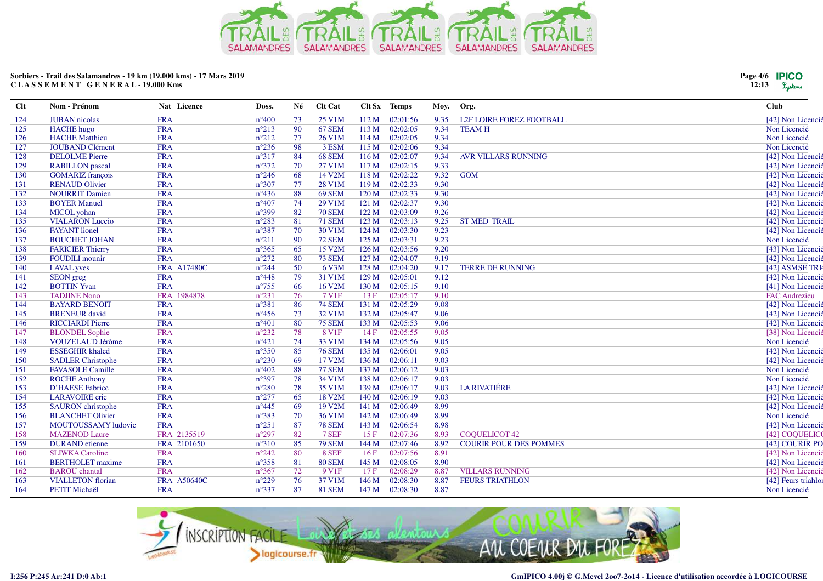

| Page 4/6 <b>PICO</b><br>12:13 | Lystens |
|-------------------------------|---------|
|-------------------------------|---------|

| Clt | Nom - Prénom             | Nat Licence        | Doss.          | Né | <b>Clt Cat</b>    |                  | Clt Sx Temps | Moy. | Org.                            | <b>Club</b>          |
|-----|--------------------------|--------------------|----------------|----|-------------------|------------------|--------------|------|---------------------------------|----------------------|
| 124 | <b>JUBAN</b> nicolas     | <b>FRA</b>         | $n^{\circ}400$ | 73 | 25 V1M            | 112M             | 02:01:56     | 9.35 | <b>L2F LOIRE FOREZ FOOTBALL</b> | [42] Non Licencié    |
| 125 | <b>HACHE</b> hugo        | <b>FRA</b>         | $n^{\circ}213$ | 90 | 67 SEM            | 113M             | 02:02:05     | 9.34 | <b>TEAMH</b>                    | Non Licencié         |
| 126 | <b>HACHE</b> Matthieu    | <b>FRA</b>         | $n^{\circ}212$ | 77 | 26 V1M            | 114M             | 02:02:05     | 9.34 |                                 | Non Licencié         |
| 127 | <b>JOUBAND Clément</b>   | <b>FRA</b>         | $n^{\circ}236$ | 98 | 3 ESM             | 115 M            | 02:02:06     | 9.34 |                                 | Non Licencié         |
| 128 | <b>DELOLME</b> Pierre    | <b>FRA</b>         | $n^{\circ}317$ | 84 | 68 SEM            | 116M             | 02:02:07     | 9.34 | <b>AVR VILLARS RUNNING</b>      | [42] Non Licencié    |
| 129 | <b>RABILLON</b> pascal   | <b>FRA</b>         | $n^{\circ}372$ | 70 | 27 V1M            | 117 M            | 02:02:15     | 9.33 |                                 | [42] Non Licencié    |
| 130 | <b>GOMARIZ</b> françois  | <b>FRA</b>         | $n^{\circ}246$ | 68 | 14 V2M            | 118 M            | 02:02:22     | 9.32 | <b>GOM</b>                      | [42] Non Licencié    |
| 131 | <b>RENAUD Olivier</b>    | <b>FRA</b>         | $n^{\circ}307$ | 77 | 28 V1M            | 119 <sub>M</sub> | 02:02:33     | 9.30 |                                 | [42] Non Licencié    |
| 132 | <b>NOURRIT Damien</b>    | <b>FRA</b>         | $n^{\circ}436$ | 88 | <b>69 SEM</b>     | 120 M            | 02:02:33     | 9.30 |                                 | [42] Non Licencié    |
| 133 | <b>BOYER Manuel</b>      | <b>FRA</b>         | $n^{\circ}407$ | 74 | 29 V1M            | 121 M            | 02:02:37     | 9.30 |                                 | [42] Non Licencié    |
| 134 | <b>MICOL</b> yohan       | <b>FRA</b>         | $n^{\circ}399$ | 82 | <b>70 SEM</b>     | 122 M            | 02:03:09     | 9.26 |                                 | [42] Non Licencié    |
| 135 | <b>VIALARON Luccio</b>   | <b>FRA</b>         | $n^{\circ}283$ | 81 | <b>71 SEM</b>     | 123M             | 02:03:13     | 9.25 | <b>ST MED' TRAIL</b>            | [42] Non Licencié    |
| 136 | <b>FAYANT</b> lionel     | <b>FRA</b>         | $n^{\circ}387$ | 70 | 30 V1M            | 124M             | 02:03:30     | 9.23 |                                 | [42] Non Licencié    |
| 137 | <b>BOUCHET JOHAN</b>     | <b>FRA</b>         | $n^{\circ}211$ | 90 | <b>72 SEM</b>     | 125 M            | 02:03:31     | 9.23 |                                 | Non Licencié         |
| 138 | <b>FARICIER Thierry</b>  | <b>FRA</b>         | $n^{\circ}365$ | 65 | 15 V2M            | 126 M            | 02:03:56     | 9.20 |                                 | [43] Non Licencié    |
| 139 | <b>FOUDILI</b> mounir    | <b>FRA</b>         | $n^{\circ}272$ | 80 | <b>73 SEM</b>     | 127 M            | 02:04:07     | 9.19 |                                 | [42] Non Licencié    |
| 140 | <b>LAVAL</b> yves        | <b>FRA A17480C</b> | $n^{\circ}244$ | 50 | 6 V3M             | 128 M            | 02:04:20     | 9.17 | <b>TERRE DE RUNNING</b>         | [42] ASMSE TRI4      |
| 141 | <b>SEON</b> greg         | <b>FRA</b>         | $n^{\circ}448$ | 79 | 31 V1M            | 129 M            | 02:05:01     | 9.12 |                                 | [42] Non Licencié    |
| 142 | <b>BOTTIN Yvan</b>       | <b>FRA</b>         | $n^{\circ}755$ | 66 | 16 V2M            | 130 M            | 02:05:15     | 9.10 |                                 | [41] Non Licencié    |
| 143 | <b>TADJINE Nono</b>      | FRA 1984878        | $n^{\circ}231$ | 76 | 7 V1F             | 13F              | 02:05:17     | 9.10 |                                 | <b>FAC Andrezieu</b> |
| 144 | <b>BAYARD BENOIT</b>     | <b>FRA</b>         | $n^{\circ}381$ | 86 | <b>74 SEM</b>     | 131 M            | 02:05:29     | 9.08 |                                 | [42] Non Licencié    |
| 145 | <b>BRENEUR</b> david     | <b>FRA</b>         | $n^{\circ}456$ | 73 | 32 V1M            | 132 M            | 02:05:47     | 9.06 |                                 | [42] Non Licencié    |
| 146 | <b>RICCIARDI Pierre</b>  | <b>FRA</b>         | $n^{\circ}401$ | 80 | <b>75 SEM</b>     | 133 M            | 02:05:53     | 9.06 |                                 | [42] Non Licencié    |
| 147 | <b>BLONDEL</b> Sophie    | <b>FRA</b>         | $n^{\circ}232$ | 78 | 8 V1F             | 14F              | 02:05:55     | 9.05 |                                 | [38] Non Licencié    |
| 148 | <b>VOUZELAUD Jérôme</b>  | <b>FRA</b>         | $n^{\circ}421$ | 74 | 33 V1M            | 134 M            | 02:05:56     | 9.05 |                                 | Non Licencié         |
| 149 | <b>ESSEGHIR khaled</b>   | <b>FRA</b>         | $n^{\circ}350$ | 85 | <b>76 SEM</b>     | 135 M            | 02:06:01     | 9.05 |                                 | [42] Non Licencié    |
| 150 | <b>SADLER Christophe</b> | <b>FRA</b>         | $n^{\circ}230$ | 69 | 17 V2M            | 136 M            | 02:06:11     | 9.03 |                                 | [42] Non Licencié    |
| 151 | <b>FAVASOLE Camille</b>  | <b>FRA</b>         | $n^{\circ}402$ | 88 | <b>77 SEM</b>     | 137 M            | 02:06:12     | 9.03 |                                 | Non Licencié         |
| 152 | <b>ROCHE Anthony</b>     | <b>FRA</b>         | $n^{\circ}397$ | 78 | 34 V1M            | 138 M            | 02:06:17     | 9.03 |                                 | Non Licencié         |
| 153 | D'HAESE Fabrice          | <b>FRA</b>         | $n^{\circ}280$ | 78 | 35 V1M            | 139 M            | 02:06:17     | 9.03 | <b>LA RIVATIÉRE</b>             | [42] Non Licencié    |
| 154 | <b>LARAVOIRE</b> eric    | <b>FRA</b>         | $n^{\circ}277$ | 65 | 18 V2M            | 140 M            | 02:06:19     | 9.03 |                                 | [42] Non Licencié    |
| 155 | <b>SAURON</b> christophe | <b>FRA</b>         | $n^{\circ}445$ | 69 | 19 V2M            | 141 M            | 02:06:49     | 8.99 |                                 | [42] Non Licencié    |
| 156 | <b>BLANCHET Olivier</b>  | <b>FRA</b>         | $n^{\circ}383$ | 70 | 36 V1M            | 142 M            | 02:06:49     | 8.99 |                                 | Non Licencié         |
| 157 | MOUTOUSSAMY ludovic      | <b>FRA</b>         | $n^{\circ}251$ | 87 | <b>78 SEM</b>     | 143 M            | 02:06:54     | 8.98 |                                 | [42] Non Licencié    |
| 158 | <b>MAZENOD Laure</b>     | FRA 2135519        | $n^{\circ}297$ | 82 | 7 SEF             | 15F              | 02:07:36     | 8.93 | <b>COOUELICOT 42</b>            | [42] COQUELICO       |
| 159 | <b>DURAND</b> etienne    | FRA 2101650        | $n^{\circ}310$ | 85 | <b>79 SEM</b>     | 144 M            | 02:07:46     | 8.92 | <b>COURIR POUR DES POMMES</b>   | [42] COURIR PO       |
| 160 | <b>SLIWKA Caroline</b>   | <b>FRA</b>         | $n^{\circ}242$ | 80 | 8 SEF             | 16F              | 02:07:56     | 8.91 |                                 | [42] Non Licencié    |
| 161 | <b>BERTHOLET</b> maxime  | <b>FRA</b>         | $n^{\circ}358$ | 81 | <b>80 SEM</b>     | 145 M            | 02:08:05     | 8.90 |                                 | [42] Non Licencié    |
| 162 | <b>BAROU</b> chantal     | <b>FRA</b>         | $n^{\circ}367$ | 72 | 9 V <sub>1F</sub> | 17F              | 02:08:29     | 8.87 | <b>VILLARS RUNNING</b>          | [42] Non Licencié    |
| 163 | <b>VIALLETON</b> florian | <b>FRA A50640C</b> | $n^{\circ}229$ | 76 | 37 V1M            | 146 M            | 02:08:30     | 8.87 | <b>FEURS TRIATHLON</b>          | [42] Feurs triahlor  |
| 164 | <b>PETIT Michaël</b>     | <b>FRA</b>         | $n^{\circ}337$ | 87 | <b>81 SEM</b>     | 147 M            | 02:08:30     | 8.87 |                                 | Non Licencié         |
|     |                          |                    |                |    |                   |                  |              |      |                                 |                      |

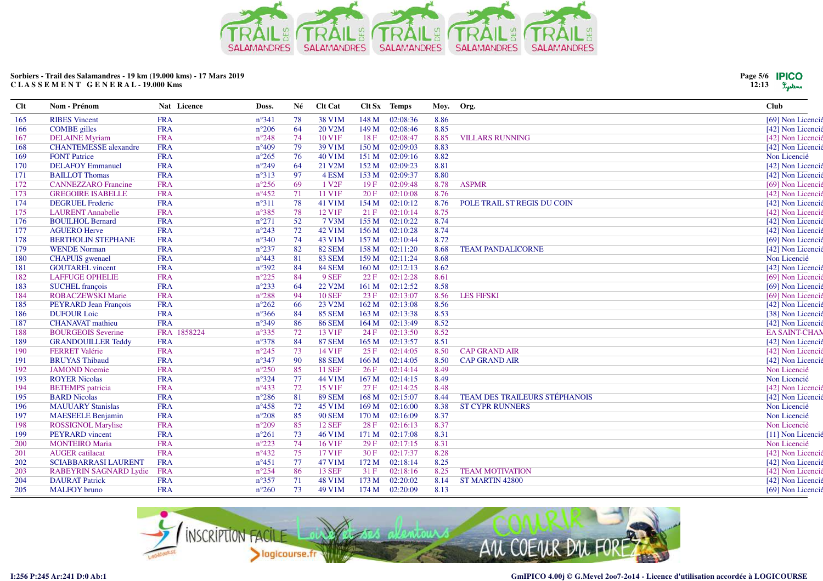

| <b>Clt</b> | Nom - Prénom                 | Nat Licence | Doss.          | Né | Clt Cat             |                  | Clt Sx Temps | Moy. | Org.                                 | <b>Club</b>          |
|------------|------------------------------|-------------|----------------|----|---------------------|------------------|--------------|------|--------------------------------------|----------------------|
| 165        | <b>RIBES</b> Vincent         | <b>FRA</b>  | $n^{\circ}341$ | 78 | 38 V1M              | 148 M            | 02:08:36     | 8.86 |                                      | [69] Non Licencié    |
| 166        | <b>COMBE</b> gilles          | <b>FRA</b>  | $n^{\circ}206$ | 64 | 20 V <sub>2</sub> M | 149 M            | 02:08:46     | 8.85 |                                      | [42] Non Licencié    |
| 167        | <b>DELAINE</b> Myriam        | <b>FRA</b>  | $n^{\circ}248$ | 74 | 10 V1F              | 18F              | 02:08:47     | 8.85 | <b>VILLARS RUNNING</b>               | [42] Non Licencié    |
| 168        | <b>CHANTEMESSE</b> alexandre | <b>FRA</b>  | $n^{\circ}409$ | 79 | 39 V1M              | 150 M            | 02:09:03     | 8.83 |                                      | [42] Non Licencié    |
| 169        | <b>FONT Patrice</b>          | <b>FRA</b>  | $n^{\circ}265$ | 76 | 40 V1M              | 151M             | 02:09:16     | 8.82 |                                      | Non Licencié         |
| 170        | <b>DELAFOY Emmanuel</b>      | <b>FRA</b>  | $n^{\circ}249$ | 64 | 21 V2M              | 152 M            | 02:09:23     | 8.81 |                                      | [42] Non Licencié    |
| 171        | <b>BAILLOT Thomas</b>        | <b>FRA</b>  | $n^{\circ}313$ | 97 | 4 ESM               | 153 M            | 02:09:37     | 8.80 |                                      | [42] Non Licencié    |
| 172        | <b>CANNEZZARO</b> Francine   | <b>FRA</b>  | $n^{\circ}256$ | 69 | 1 V <sub>2F</sub>   | 19F              | 02:09:48     | 8.78 | <b>ASPMR</b>                         | [69] Non Licencié    |
| 173        | <b>GREGOIRE ISABELLE</b>     | <b>FRA</b>  | $n^{\circ}452$ | 71 | 11 V1F              | 20F              | 02:10:08     | 8.76 |                                      | [42] Non Licencié    |
| 174        | <b>DEGRUEL Frederic</b>      | <b>FRA</b>  | $n^{\circ}311$ | 78 | 41 V1M              | 154 M            | 02:10:12     | 8.76 | POLE TRAIL ST REGIS DU COIN          | [42] Non Licencié    |
| 175        | <b>LAURENT</b> Annabelle     | <b>FRA</b>  | n°385          | 78 | 12 V1F              | 21F              | 02:10:14     | 8.75 |                                      | [42] Non Licencié    |
| 176        | <b>BOUILHOL Bernard</b>      | <b>FRA</b>  | $n^{\circ}271$ | 52 | 7 V3M               | 155 M            | 02:10:22     | 8.74 |                                      | [42] Non Licencié    |
| 177        | <b>AGUERO Herve</b>          | <b>FRA</b>  | $n^{\circ}243$ | 72 | 42 V1M              | 156 M            | 02:10:28     | 8.74 |                                      | [42] Non Licencié    |
| 178        | <b>BERTHOLIN STEPHANE</b>    | <b>FRA</b>  | $n^{\circ}340$ | 74 | 43 V1M              | 157 M            | 02:10:44     | 8.72 |                                      | [69] Non Licencié    |
| 179        | <b>WENDE Norman</b>          | <b>FRA</b>  | $n^{\circ}237$ | 82 | <b>82 SEM</b>       | 158 M            | 02:11:20     | 8.68 | <b>TEAM PANDALICORNE</b>             | [42] Non Licencié    |
| 180        | <b>CHAPUIS</b> gwenael       | <b>FRA</b>  | $n^{\circ}443$ | 81 | 83 SEM              | 159 M            | 02:11:24     | 8.68 |                                      | Non Licencié         |
| 181        | <b>GOUTAREL</b> vincent      | <b>FRA</b>  | n°392          | 84 | <b>84 SEM</b>       | 160 <sub>M</sub> | 02:12:13     | 8.62 |                                      | [42] Non Licencié    |
| 182        | <b>LAFFUGE OPHELIE</b>       | <b>FRA</b>  | $n^{\circ}225$ | 84 | 9 SEF               | 22 F             | 02:12:28     | 8.61 |                                      | [69] Non Licencié    |
| 183        | <b>SUCHEL</b> françois       | <b>FRA</b>  | $n^{\circ}233$ | 64 | 22 V2M              | 161 M            | 02:12:52     | 8.58 |                                      | [69] Non Licencié    |
| 184        | <b>ROBACZEWSKI Marie</b>     | <b>FRA</b>  | $n^{\circ}288$ | 94 | <b>10 SEF</b>       | 23F              | 02:13:07     | 8.56 | <b>LES FIFSKI</b>                    | [69] Non Licencié    |
| 185        | PEYRARD Jean François        | <b>FRA</b>  | $n^{\circ}262$ | 66 | 23 V2M              | 162 M            | 02:13:08     | 8.56 |                                      | [42] Non Licencié    |
| 186        | <b>DUFOUR Loic</b>           | <b>FRA</b>  | $n^{\circ}366$ | 84 | <b>85 SEM</b>       | 163 M            | 02:13:38     | 8.53 |                                      | [38] Non Licencié    |
| 187        | <b>CHANAVAT</b> mathieu      | <b>FRA</b>  | n°349          | 86 | <b>86 SEM</b>       | 164 M            | 02:13:49     | 8.52 |                                      | [42] Non Licencié    |
| 188        | <b>BOURGEOIS Severine</b>    | FRA 1858224 | $n^{\circ}335$ | 72 | 13 V1F              | 24 F             | 02:13:50     | 8.52 |                                      | <b>EA SAINT-CHAM</b> |
| 189        | <b>GRANDOUILLER Teddy</b>    | <b>FRA</b>  | n°378          | 84 | <b>87 SEM</b>       | 165 M            | 02:13:57     | 8.51 |                                      | [42] Non Licencié    |
| 190        | <b>FERRET Valérie</b>        | <b>FRA</b>  | $n^{\circ}245$ | 73 | 14 V1F              | 25F              | 02:14:05     | 8.50 | <b>CAP GRAND AIR</b>                 | [42] Non Licencié    |
| 191        | <b>BRUYAS Thibaud</b>        | <b>FRA</b>  | $n^{\circ}347$ | 90 | <b>88 SEM</b>       | 166 M            | 02:14:05     | 8.50 | <b>CAP GRAND AIR</b>                 | [42] Non Licencié    |
| 192        | <b>JAMOND Noemie</b>         | <b>FRA</b>  | $n^{\circ}250$ | 85 | <b>11 SEF</b>       | 26F              | 02:14:14     | 8.49 |                                      | Non Licencié         |
| 193        | <b>ROYER Nicolas</b>         | <b>FRA</b>  | $n^{\circ}324$ | 77 | 44 V1M              | 167 M            | 02:14:15     | 8.49 |                                      | Non Licencié         |
| 194        | <b>BETEMPS</b> patricia      | <b>FRA</b>  | $n^{\circ}433$ | 72 | 15 V1F              | 27 F             | 02:14:25     | 8.48 |                                      | [42] Non Licencié    |
| 195        | <b>BARD Nicolas</b>          | <b>FRA</b>  | $n^{\circ}286$ | 81 | <b>89 SEM</b>       | 168 M            | 02:15:07     | 8.44 | <b>TEAM DES TRAILEURS STÉPHANOIS</b> | [42] Non Licencié    |
| 196        | <b>MAUUARY Stanislas</b>     | <b>FRA</b>  | $n^{\circ}458$ | 72 | 45 V1M              | 169 M            | 02:16:00     | 8.38 | <b>ST CYPR RUNNERS</b>               | Non Licencié         |
| 197        | <b>MAESEELE Benjamin</b>     | <b>FRA</b>  | $n^{\circ}208$ | 85 | <b>90 SEM</b>       | 170 M            | 02:16:09     | 8.37 |                                      | Non Licencié         |
| 198        | <b>ROSSIGNOL Marylise</b>    | <b>FRA</b>  | $n^{\circ}209$ | 85 | <b>12 SEF</b>       | 28 F             | 02:16:13     | 8.37 |                                      | Non Licencié         |
| 199        | PEYRARD vincent              | <b>FRA</b>  | $n^{\circ}261$ | 73 | 46 V1M              | 171 M            | 02:17:08     | 8.31 |                                      | [11] Non Licencié    |
| 200        | <b>MONTEIRO</b> Maria        | <b>FRA</b>  | $n^{\circ}223$ | 74 | 16 V1F              | 29F              | 02:17:15     | 8.31 |                                      | Non Licencié         |
| 201        | <b>AUGER</b> catilacat       | <b>FRA</b>  | $n^{\circ}432$ | 75 | 17 V1F              | 30 F             | 02:17:37     | 8.28 |                                      | [42] Non Licencié    |
| 202        | <b>SCIABBARRASI LAURENT</b>  | <b>FRA</b>  | $n^{\circ}451$ | 77 | 47 V1M              | 172 M            | 02:18:14     | 8.25 |                                      | [42] Non Licencié    |
| 203        | RABEYRIN SAGNARD Lydie       | <b>FRA</b>  | $n^{\circ}254$ | 86 | <b>13 SEF</b>       | 31 F             | 02:18:16     | 8.25 | <b>TEAM MOTIVATION</b>               | [42] Non Licencié    |
| 204        | <b>DAURAT Patrick</b>        | <b>FRA</b>  | $n^{\circ}357$ | 71 | 48 V1M              | 173 M            | 02:20:02     | 8.14 | <b>ST MARTIN 42800</b>               | [42] Non Licencié    |
| 205        | <b>MALFOY</b> bruno          | <b>FRA</b>  | $n^{\circ}260$ | 73 | 49 V1M              | 174 M            | 02:20:09     | 8.13 |                                      | [69] Non Licencié    |
|            |                              |             |                |    |                     |                  |              |      |                                      |                      |



**Page 5/612:13**